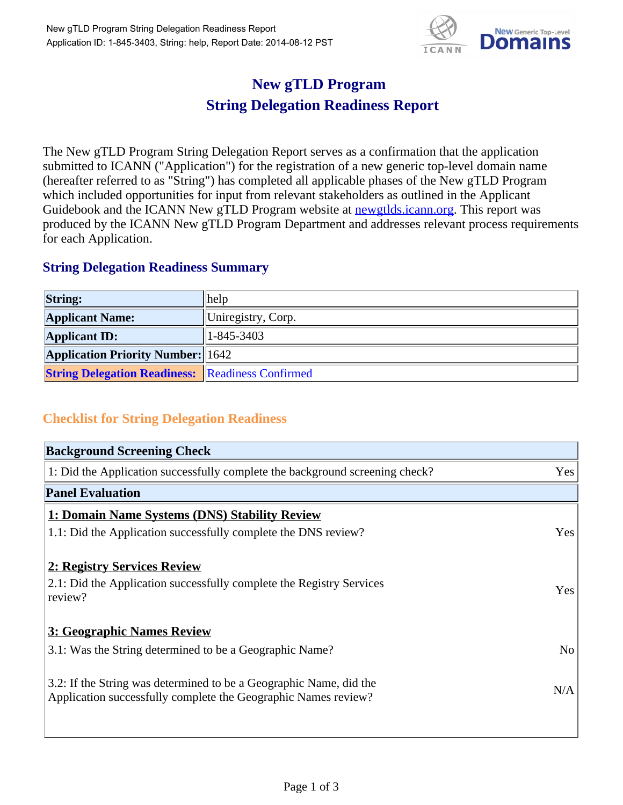

## **New gTLD Program String Delegation Readiness Report**

The New gTLD Program String Delegation Report serves as a confirmation that the application submitted to ICANN ("Application") for the registration of a new generic top-level domain name (hereafter referred to as "String") has completed all applicable phases of the New gTLD Program which included opportunities for input from relevant stakeholders as outlined in the Applicant Guidebook and the ICANN New gTLD Program website at newgtlds.icann.org. This report was produced by the ICANN New gTLD Program Department and addresses relevant process requirements for each Application.

## **String Delegation Readiness Summary**

| <b>String:</b>                                          | help               |
|---------------------------------------------------------|--------------------|
| <b>Applicant Name:</b>                                  | Uniregistry, Corp. |
| <b>Applicant ID:</b>                                    | 1-845-3403         |
| <b>Application Priority Number:</b> 1642                |                    |
| <b>String Delegation Readiness: Readiness Confirmed</b> |                    |

## **Checklist for String Delegation Readiness**

| <b>Background Screening Check</b>                                                                                                    |                |
|--------------------------------------------------------------------------------------------------------------------------------------|----------------|
| 1: Did the Application successfully complete the background screening check?                                                         | Yes            |
| <b>Panel Evaluation</b>                                                                                                              |                |
| 1: Domain Name Systems (DNS) Stability Review                                                                                        |                |
| 1.1: Did the Application successfully complete the DNS review?                                                                       | Yes            |
| 2: Registry Services Review                                                                                                          |                |
| 2.1: Did the Application successfully complete the Registry Services<br>review?                                                      | Yes            |
| 3: Geographic Names Review                                                                                                           |                |
| 3.1: Was the String determined to be a Geographic Name?                                                                              | N <sub>o</sub> |
| 3.2: If the String was determined to be a Geographic Name, did the<br>Application successfully complete the Geographic Names review? | N/A            |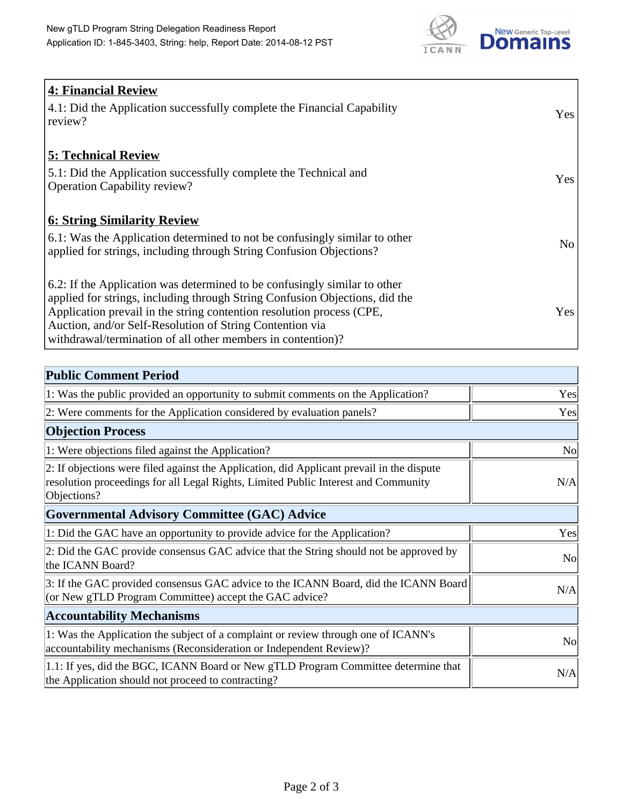

| <b>4: Financial Review</b><br>4.1: Did the Application successfully complete the Financial Capability<br>review?                                                                                                                                                                                                                                             | Yes             |
|--------------------------------------------------------------------------------------------------------------------------------------------------------------------------------------------------------------------------------------------------------------------------------------------------------------------------------------------------------------|-----------------|
| <b>5: Technical Review</b><br>5.1: Did the Application successfully complete the Technical and<br><b>Operation Capability review?</b>                                                                                                                                                                                                                        | Yes             |
| <b>6: String Similarity Review</b><br>6.1: Was the Application determined to not be confusingly similar to other<br>applied for strings, including through String Confusion Objections?                                                                                                                                                                      | No <sub>1</sub> |
| 6.2: If the Application was determined to be confusingly similar to other<br>applied for strings, including through String Confusion Objections, did the<br>Application prevail in the string contention resolution process (CPE,<br>Auction, and/or Self-Resolution of String Contention via<br>withdrawal/termination of all other members in contention)? | Yes             |

| <b>Public Comment Period</b>                                                                                                                                                                   |                |
|------------------------------------------------------------------------------------------------------------------------------------------------------------------------------------------------|----------------|
| 1: Was the public provided an opportunity to submit comments on the Application?                                                                                                               | Yes            |
| 2: Were comments for the Application considered by evaluation panels?                                                                                                                          | Yes            |
| <b>Objection Process</b>                                                                                                                                                                       |                |
| 1: Were objections filed against the Application?                                                                                                                                              | N <sub>o</sub> |
| 2: If objections were filed against the Application, did Applicant prevail in the dispute<br>resolution proceedings for all Legal Rights, Limited Public Interest and Community<br>Objections? | N/A            |
| <b>Governmental Advisory Committee (GAC) Advice</b>                                                                                                                                            |                |
| 1: Did the GAC have an opportunity to provide advice for the Application?                                                                                                                      | Yes            |
| 2: Did the GAC provide consensus GAC advice that the String should not be approved by<br>the ICANN Board?                                                                                      | <b>No</b>      |
| 3: If the GAC provided consensus GAC advice to the ICANN Board, did the ICANN Board<br>(or New gTLD Program Committee) accept the GAC advice?                                                  | N/A            |
| <b>Accountability Mechanisms</b>                                                                                                                                                               |                |
| 1: Was the Application the subject of a complaint or review through one of ICANN's<br>accountability mechanisms (Reconsideration or Independent Review)?                                       | N <sub>0</sub> |
| 1.1: If yes, did the BGC, ICANN Board or New gTLD Program Committee determine that<br>the Application should not proceed to contracting?                                                       | N/A            |